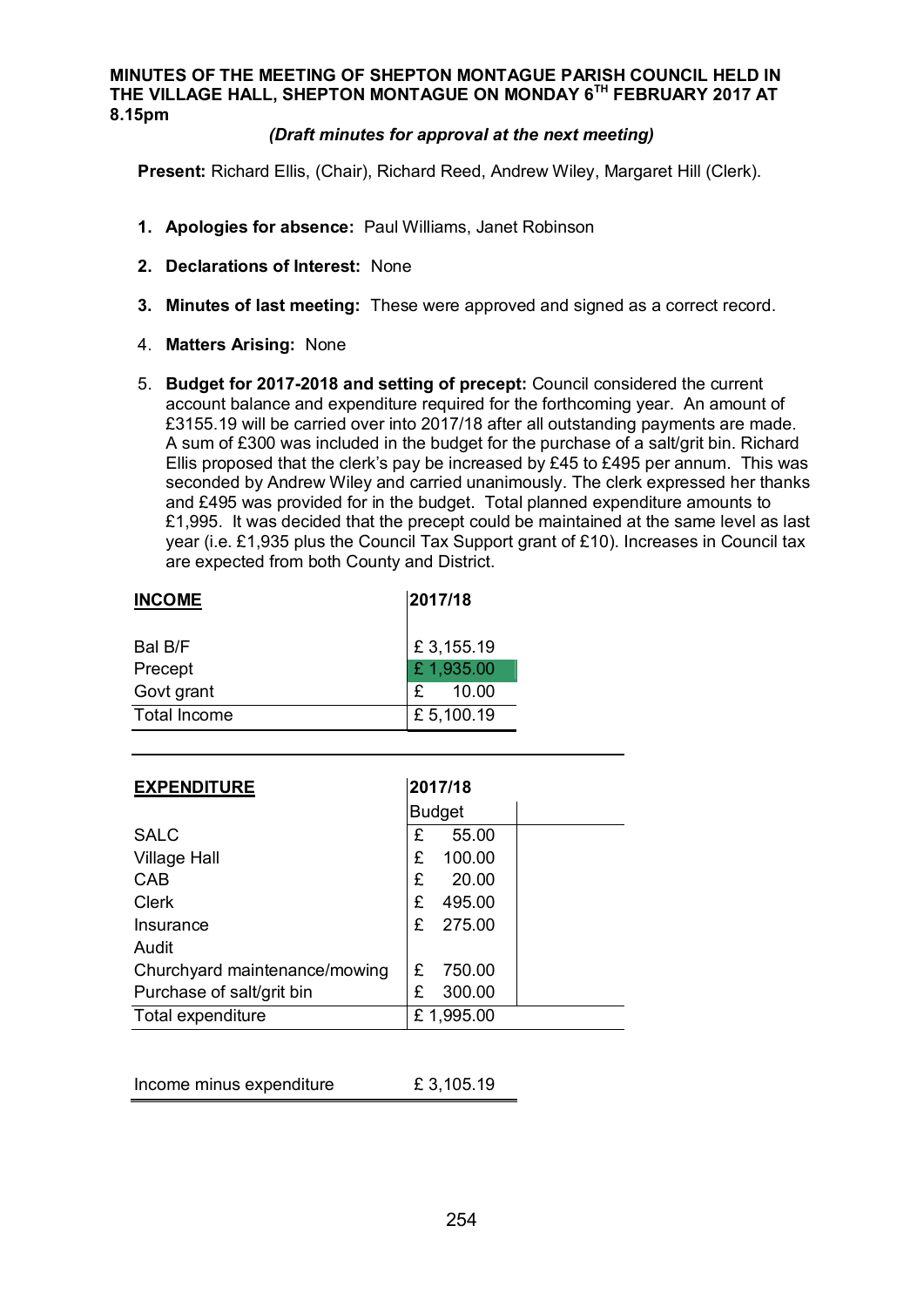## **MINUTES OF THE MEETING OF SHEPTON MONTAGUE PARISH COUNCIL HELD IN THE VILLAGE HALL, SHEPTON MONTAGUE ON MONDAY 6TH FEBRUARY 2017 AT 8.15pm**

## *(Draft minutes for approval at the next meeting)*

**Present:** Richard Ellis, (Chair), Richard Reed, Andrew Wiley, Margaret Hill (Clerk).

- **1. Apologies for absence:** Paul Williams, Janet Robinson
- **2. Declarations of Interest:** None
- **3. Minutes of last meeting:** These were approved and signed as a correct record.
- 4. **Matters Arising:** None
- 5. **Budget for 2017-2018 and setting of precept:** Council considered the current account balance and expenditure required for the forthcoming year. An amount of £3155.19 will be carried over into 2017/18 after all outstanding payments are made. A sum of £300 was included in the budget for the purchase of a salt/grit bin. Richard Ellis proposed that the clerk's pay be increased by £45 to £495 per annum. This was seconded by Andrew Wiley and carried unanimously. The clerk expressed her thanks and £495 was provided for in the budget. Total planned expenditure amounts to £1,995. It was decided that the precept could be maintained at the same level as last year (i.e. £1,935 plus the Council Tax Support grant of £10). Increases in Council tax are expected from both County and District.

| <b>INCOME</b>       | 2017/18   |
|---------------------|-----------|
| Bal B/F             | £3,155.19 |
| Precept             | £1,935.00 |
| Govt grant          | 10.00     |
| <b>Total Income</b> | £5,100.19 |

| <b>EXPENDITURE</b>            | 2017/18       |
|-------------------------------|---------------|
|                               | <b>Budget</b> |
| <b>SALC</b>                   | £<br>55.00    |
| <b>Village Hall</b>           | £<br>100.00   |
| CAB                           | £<br>20.00    |
| <b>Clerk</b>                  | £<br>495.00   |
| Insurance                     | £<br>275.00   |
| Audit                         |               |
| Churchyard maintenance/mowing | 750.00<br>£   |
| Purchase of salt/grit bin     | £<br>300.00   |
| Total expenditure             | £1,995.00     |

| Income minus expenditure | £3,105.19 |
|--------------------------|-----------|
|--------------------------|-----------|